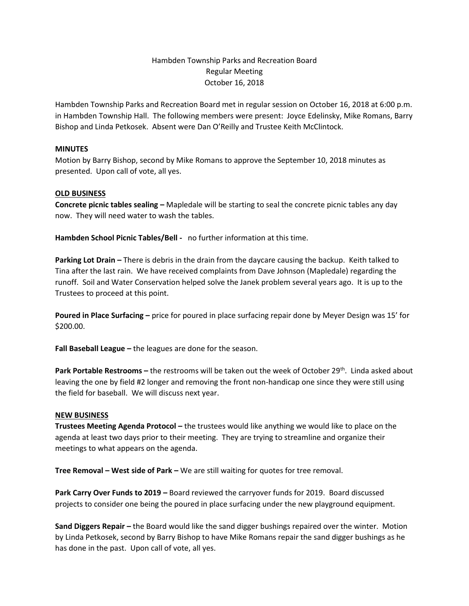## Hambden Township Parks and Recreation Board Regular Meeting October 16, 2018

Hambden Township Parks and Recreation Board met in regular session on October 16, 2018 at 6:00 p.m. in Hambden Township Hall. The following members were present: Joyce Edelinsky, Mike Romans, Barry Bishop and Linda Petkosek. Absent were Dan O'Reilly and Trustee Keith McClintock.

## **MINUTES**

Motion by Barry Bishop, second by Mike Romans to approve the September 10, 2018 minutes as presented. Upon call of vote, all yes.

## **OLD BUSINESS**

**Concrete picnic tables sealing –** Mapledale will be starting to seal the concrete picnic tables any day now. They will need water to wash the tables.

**Hambden School Picnic Tables/Bell -** no further information at this time.

**Parking Lot Drain -** There is debris in the drain from the daycare causing the backup. Keith talked to Tina after the last rain. We have received complaints from Dave Johnson (Mapledale) regarding the runoff. Soil and Water Conservation helped solve the Janek problem several years ago. It is up to the Trustees to proceed at this point.

**Poured in Place Surfacing –** price for poured in place surfacing repair done by Meyer Design was 15' for \$200.00.

**Fall Baseball League –** the leagues are done for the season.

**Park Portable Restrooms –** the restrooms will be taken out the week of October 29<sup>th</sup>. Linda asked about leaving the one by field #2 longer and removing the front non-handicap one since they were still using the field for baseball. We will discuss next year.

## **NEW BUSINESS**

**Trustees Meeting Agenda Protocol –** the trustees would like anything we would like to place on the agenda at least two days prior to their meeting. They are trying to streamline and organize their meetings to what appears on the agenda.

**Tree Removal – West side of Park –** We are still waiting for quotes for tree removal.

**Park Carry Over Funds to 2019 –** Board reviewed the carryover funds for 2019. Board discussed projects to consider one being the poured in place surfacing under the new playground equipment.

**Sand Diggers Repair –** the Board would like the sand digger bushings repaired over the winter. Motion by Linda Petkosek, second by Barry Bishop to have Mike Romans repair the sand digger bushings as he has done in the past. Upon call of vote, all yes.